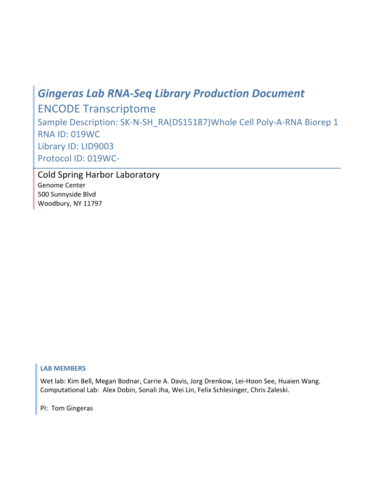# *Gingeras
Lab
RNA‐Seq
Library
Production
Document*

ENCODE
Transcriptome Sample
Description: SK‐N‐SH\_RA(DS15187)Whole
Cell
Poly‐A‐RNA
Biorep
1 RNA
ID: 019WC Library
ID: LID9003 Protocol
ID:
019WC‐

Cold
Spring
Harbor
Laboratory Genome
Center 500
Sunnyside
Blvd Woodbury,
NY
11797

# **LAB
MEMBERS**

Wet
lab:
Kim
Bell,
Megan
Bodnar,
Carrie
A.
Davis,
Jorg
Drenkow,
Lei‐Hoon
See,
Huaien
Wang. Computational
Lab:

Alex
Dobin,
Sonali
Jha,
Wei
Lin,
Felix
Schlesinger,
Chris
Zaleski.

PI:

Tom
Gingeras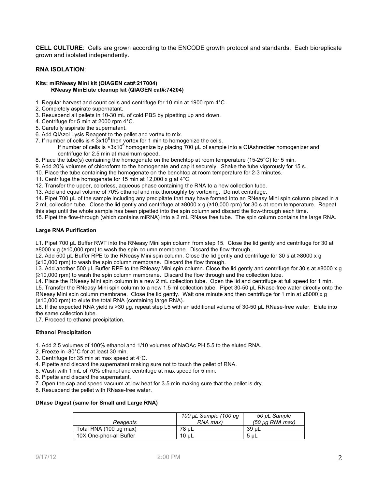**CELL CULTURE**: Cells are grown according to the ENCODE growth protocol and standards. Each bioreplicate grown and isolated independently.

## **RNA ISOLATION**:

#### **Kits: miRNeasy Mini kit (QIAGEN cat#:217004) RNeasy MinElute cleanup kit (QIAGEN cat#:74204)**

- 1. Regular harvest and count cells and centrifuge for 10 min at 1900 rpm 4°C.
- 2. Completely aspirate supernatant.
- 3. Resuspend all pellets in 10-30 mL of cold PBS by pipetting up and down.
- 4. Centrifuge for 5 min at 2000 rpm 4°C.
- 5. Carefully aspirate the supernatant.
- 6. Add QIAzol Lysis Reagent to the pellet and vortex to mix.
- 7. If number of cells is  $\leq 3x10^6$  then vortex for 1 min to homogenize the cells.
	- If number of cells is  $>3x10^6$  homogenize by placing 700  $\mu$ L of sample into a QIAshredder homogenizer and centrifuge for 2.5 min at maximum speed.
- 8. Place the tube(s) containing the homogenate on the benchtop at room temperature (15-25°C) for 5 min.
- 9. Add 20% volumes of chloroform to the homogenate and cap it securely. Shake the tube vigorously for 15 s.
- 10. Place the tube containing the homogenate on the benchtop at room temperature for 2-3 minutes.
- 11. Centrifuge the homogenate for 15 min at 12,000 x g at 4°C.
- 12. Transfer the upper, colorless, aqueous phase containing the RNA to a new collection tube.
- 13. Add and equal volume of 70% ethanol and mix thoroughly by vortexing. Do not centrifuge.

14. Pipet 700 µL of the sample including any precipitate that may have formed into an RNeasy Mini spin column placed in a 2 mL collection tube. Close the lid gently and centrifuge at ≥8000 x g (≥10,000 rpm) for 30 s at room temperature. Repeat this step until the whole sample has been pipetted into the spin column and discard the flow-through each time.

15. Pipet the flow-through (which contains miRNA) into a 2 mL RNase free tube. The spin column contains the large RNA.

## **Large RNA Purification**

L1. Pipet 700 uL Buffer RWT into the RNeasy Mini spin column from step 15. Close the lid gently and centrifuge for 30 at ≥8000 x g (≥10,000 rpm) to wash the spin column membrane. Discard the flow through.

L2. Add 500 µL Buffer RPE to the RNeasy Mini spin column. Close the lid gently and centrifuge for 30 s at ≥8000 x g (≥10,000 rpm) to wash the spin column membrane. Discard the flow through.

L3. Add another 500 µL Buffer RPE to the RNeasy Mini spin column. Close the lid gently and centrifuge for 30 s at ≥8000 x g (≥10,000 rpm) to wash the spin column membrane. Discard the flow through and the collection tube.

L4. Place the RNeasy Mini spin column in a new 2 mL collection tube. Open the lid and centrifuge at full speed for 1 min. L5. Transfer the RNeasy Mini spin column to a new 1.5 ml collection tube. Pipet 30-50 µL RNase-free water directly onto the RNeasy Mini spin column membrane. Close the lid gently. Wait one minute and then centrifuge for 1 min at ≥8000 x g (≥10,000 rpm) to elute the total RNA (containing large RNA).

L6. If the expected RNA yield is >30 µg, repeat step L5 with an additional volume of 30-50 µL RNase-free water. Elute into the same collection tube.

L7. Proceed to ethanol precipitation.

## **Ethanol Precipitation**

- 1. Add 2.5 volumes of 100% ethanol and 1/10 volumes of NaOAc PH 5.5 to the eluted RNA.
- 2. Freeze in -80°C for at least 30 min.
- 3. Centrifuge for 35 min at max speed at 4°C.
- 4. Pipette and discard the supernatant making sure not to touch the pellet of RNA.
- 5. Wash with 1 mL of 70% ethanol and centrifuge at max speed for 5 min.
- 6. Pipette and discard the supernatant.
- 7. Open the cap and speed vacuum at low heat for 3-5 min making sure that the pellet is dry.
- 8. Resuspend the pellet with RNase-free water.

## **DNase Digest (same for Small and Large RNA)**

|                         | 100 µL Sample (100 µg | 50 µL Sample    |
|-------------------------|-----------------------|-----------------|
| Reagents                | RNA max)              | (50 µg RNA max) |
| Total RNA (100 µg max)  | 78 uL                 | 39 uL           |
| 10X One-phor-all Buffer | 10 uL                 | -5 uL           |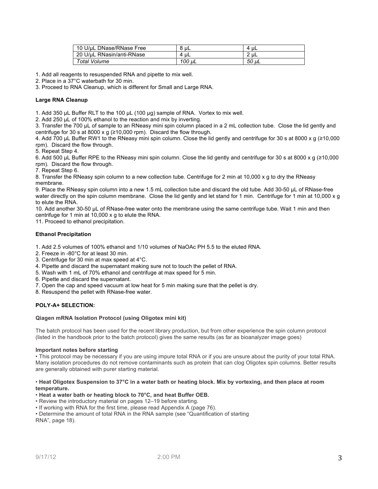| 10 U/uL DNase/RNase Free  | 8 uL      | uL<br>4 |
|---------------------------|-----------|---------|
| 20 U/uL RNasin/anti-RNase | ' uL<br>4 | $2u$ L  |
| Total Volume              | 100 uL    | 50 uL   |

1. Add all reagents to resuspended RNA and pipette to mix well.

2. Place in a 37°C waterbath for 30 min.

3. Proceed to RNA Cleanup, which is different for Small and Large RNA.

## **Large RNA Cleanup**

1. Add 350 µL Buffer RLT to the 100 µL (100 µg) sample of RNA. Vortex to mix well.

2. Add 250 µL of 100% ethanol to the reaction and mix by inverting.

3. Transfer the 700 µL of sample to an RNeasy mini spin column placed in a 2 mL collection tube. Close the lid gently and centrifuge for 30 s at 8000 x g  $(≥10,000$  rpm). Discard the flow through.

4. Add 700 µL Buffer RW1 to the RNeasy mini spin column. Close the lid gently and centrifuge for 30 s at 8000 x g (≥10,000 rpm). Discard the flow through.

5. Repeat Step 4.

6. Add 500 µL Buffer RPE to the RNeasy mini spin column. Close the lid gently and centrifuge for 30 s at 8000 x g (≥10,000 rpm). Discard the flow through.

7. Repeat Step 6.

8. Transfer the RNeasy spin column to a new collection tube. Centrifuge for 2 min at 10,000 x g to dry the RNeasy membrane.

9. Place the RNeasy spin column into a new 1.5 mL collection tube and discard the old tube. Add 30-50 µL of RNase-free water directly on the spin column membrane. Close the lid gently and let stand for 1 min. Centrifuge for 1 min at 10,000 x g to elute the RNA.

10. Add another 30-50 µL of RNase-free water onto the membrane using the same centrifuge tube. Wait 1 min and then centrifuge for 1 min at 10,000 x g to elute the RNA.

11. Proceed to ethanol precipitation.

## **Ethanol Precipitation**

1. Add 2.5 volumes of 100% ethanol and 1/10 volumes of NaOAc PH 5.5 to the eluted RNA.

- 2. Freeze in -80°C for at least 30 min.
- 3. Centrifuge for 30 min at max speed at 4°C.
- 4. Pipette and discard the supernatant making sure not to touch the pellet of RNA.
- 5. Wash with 1 mL of 70% ethanol and centrifuge at max speed for 5 min.
- 6. Pipette and discard the supernatant.
- 7. Open the cap and speed vacuum at low heat for 5 min making sure that the pellet is dry.
- 8. Resuspend the pellet with RNase-free water.

## **POLY-A+ SELECTION:**

#### **Qiagen mRNA Isolation Protocol (using Oligotex mini kit)**

The batch protocol has been used for the recent library production, but from other experience the spin column protocol (listed in the handbook prior to the batch protocol) gives the same results (as far as bioanalyzer image goes)

#### **Important notes before starting**

• This protocol may be necessary if you are using impure total RNA or if you are unsure about the purity of your total RNA. Many isolation procedures do not remove contaminants such as protein that can clog Oligotex spin columns. Better results are generally obtained with purer starting material.

#### • **Heat Oligotex Suspension to 37°C in a water bath or heating block. Mix by vortexing, and then place at room temperature.**

#### • **Heat a water bath or heating block to 70°C, and heat Buffer OEB.**

• Review the introductory material on pages 12–19 before starting.

• If working with RNA for the first time, please read Appendix A (page 76).

• Determine the amount of total RNA in the RNA sample (see "Quantification of starting RNA", page 18).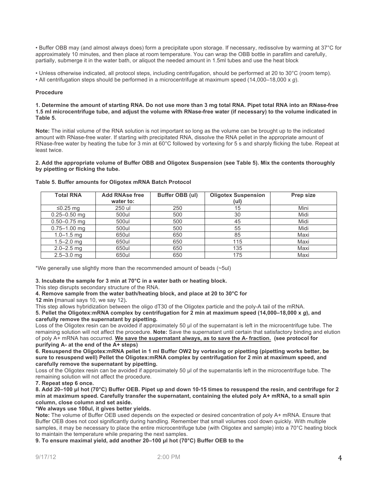• Buffer OBB may (and almost always does) form a precipitate upon storage. If necessary, redissolve by warming at 37°C for approximately 10 minutes, and then place at room temperature. You can wrap the OBB bottle in parafilm and carefully, partially, submerge it in the water bath, or aliquot the needed amount in 1.5ml tubes and use the heat block

• Unless otherwise indicated, all protocol steps, including centrifugation, should be performed at 20 to 30°C (room temp).

• All centrifugation steps should be performed in a microcentrifuge at maximum speed (14,000–18,000 x *g*).

## **Procedure**

**1. Determine the amount of starting RNA. Do not use more than 3 mg total RNA. Pipet total RNA into an RNase-free 1.5 ml microcentrifuge tube, and adjust the volume with RNase-free water (if necessary) to the volume indicated in Table 5.**

**Note:** The initial volume of the RNA solution is not important so long as the volume can be brought up to the indicated amount with RNase-free water. If starting with precipitated RNA, dissolve the RNA pellet in the appropriate amount of RNase-free water by heating the tube for 3 min at 60°C followed by vortexing for 5 s and sharply flicking the tube. Repeat at least twice.

**2. Add the appropriate volume of Buffer OBB and Oligotex Suspension (see Table 5). Mix the contents thoroughly by pipetting or flicking the tube.** 

| <b>Total RNA</b> | <b>Add RNAse free</b><br>water to: | Buffer OBB (ul) | <b>Oligotex Suspension</b><br>(ul) | Prep size |
|------------------|------------------------------------|-----------------|------------------------------------|-----------|
| $≤0.25$ mg       | 250 ul                             | 250             | 15                                 | Mini      |
| $0.25 - 0.50$ mg | 500ul                              | 500             | 30                                 | Midi      |
| $0.50 - 0.75$ mg | 500ul                              | 500             | 45                                 | Midi      |
| $0.75 - 1.00$ mg | 500ul                              | 500             | 55                                 | Midi      |
| $1.0 - 1.5$ mg   | 650ul                              | 650             | 85                                 | Maxi      |
| $1.5 - 2.0$ mg   | 650ul                              | 650             | 115                                | Maxi      |
| $2.0 - 2.5$ mg   | 650ul                              | 650             | 135                                | Maxi      |
| $2.5 - 3.0$ mg   | 650ul                              | 650             | 175                                | Maxi      |

#### **Table 5. Buffer amounts for Oligotex mRNA Batch Protocol**

\*We generally use slightly more than the recommended amount of beads (~5ul)

**3. Incubate the sample for 3 min at 70°C in a water bath or heating block.**

This step disrupts secondary structure of the RNA.

**4. Remove sample from the water bath/heating block, and place at 20 to 30°C for**

**12 min (**manual says 10, we say 12)**.**

This step allows hybridization between the oligo dT30 of the Oligotex particle and the poly-A tail of the mRNA.

**5. Pellet the Oligotex:mRNA complex by centrifugation for 2 min at maximum speed (14,000–18,000 x** *g***), and carefully remove the supernatant by pipetting.**

Loss of the Oligotex resin can be avoided if approximately 50  $\mu$  of the supernatant is left in the microcentrifuge tube. The remaining solution will not affect the procedure. **Note:** Save the supernatant until certain that satisfactory binding and elution of poly A+ mRNA has occurred. **We save the supernatant always, as to save the A- fraction. (see protocol for purifying A- at the end of the A+ steps)**

**6. Resuspend the Oligotex:mRNA pellet in 1 ml Buffer OW2 by vortexing or pipetting (pipetting works better, be sure to resuspend well) Pellet the Oligotex:mRNA complex by centrifugation for 2 min at maximum speed, and carefully remove the supernatant by pipetting.**

Loss of the Oligotex resin can be avoided if approximately 50 µl of the supernatantis left in the microcentrifuge tube. The remaining solution will not affect the procedure.

**7. Repeat step 6 once.**

**8. Add 20–100 µl hot (70°C) Buffer OEB. Pipet up and down 10-15 times to resuspend the resin, and centrifuge for 2 min at maximum speed. Carefully transfer the supernatant, containing the eluted poly A+ mRNA, to a small spin column, close column and set aside.**

**\*We always use 100ul, it gives better yields.** 

**Note:** The volume of Buffer OEB used depends on the expected or desired concentration of poly A+ mRNA. Ensure that Buffer OEB does not cool significantly during handling. Remember that small volumes cool down quickly. With multiple samples, it may be necessary to place the entire microcentrifuge tube (with Oligotex and sample) into a 70°C heating block to maintain the temperature while preparing the next samples.

**9. To ensure maximal yield, add another 20–100 µl hot (70°C) Buffer OEB to the**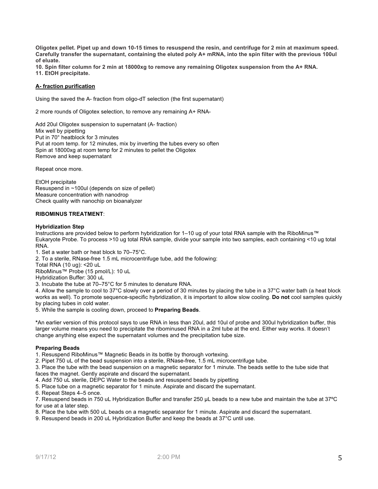**Oligotex pellet. Pipet up and down 10-15 times to resuspend the resin, and centrifuge for 2 min at maximum speed. Carefully transfer the supernatant, containing the eluted poly A+ mRNA, into the spin filter with the previous 100ul of eluate.** 

**10. Spin filter column for 2 min at 18000xg to remove any remaining Oligotex suspension from the A+ RNA. 11. EtOH precipitate.** 

## **A- fraction purification**

Using the saved the A- fraction from oligo-dT selection (the first supernatant)

2 more rounds of Oligotex selection, to remove any remaining A+ RNA-

Add 20ul Oligotex suspension to supernatant (A- fraction) Mix well by pipetting Put in 70° heatblock for 3 minutes Put at room temp. for 12 minutes, mix by inverting the tubes every so often Spin at 18000xg at room temp for 2 minutes to pellet the Oligotex Remove and keep supernatant

Repeat once more.

EtOH precipitate Resuspend in ~100ul (depends on size of pellet) Measure concentration with nanodrop Check quality with nanochip on bioanalyzer

## **RIBOMINUS TREATMENT**:

#### **Hybridization Step**

Instructions are provided below to perform hybridization for 1–10 ug of your total RNA sample with the RiboMinus™ Eukaryote Probe. To process >10 ug total RNA sample, divide your sample into two samples, each containing <10 ug total RNA.

1. Set a water bath or heat block to 70–75°C.

2. To a sterile, RNase-free 1.5 mL microcentrifuge tube, add the following:

Total RNA (10 ug): <20 uL

RiboMinus™ Probe (15 pmol/L): 10 uL

Hybridization Buffer: 300 uL

3. Incubate the tube at 70–75°C for 5 minutes to denature RNA.

4. Allow the sample to cool to 37°C slowly over a period of 30 minutes by placing the tube in a 37°C water bath (a heat block works as well). To promote sequence-specific hybridization, it is important to allow slow cooling. **Do not** cool samples quickly by placing tubes in cold water.

5. While the sample is cooling down, proceed to **Preparing Beads**.

**\***An earlier version of this protocol says to use RNA in less than 20ul, add 10ul of probe and 300ul hybridization buffer, this larger volume means you need to precipitate the ribominused RNA in a 2ml tube at the end. Either way works. It doesn't change anything else expect the supernatant volumes and the precipitation tube size.

## **Preparing Beads**

1. Resuspend RiboMinus™ Magnetic Beads in its bottle by thorough vortexing.

2. Pipet 750 uL of the bead suspension into a sterile, RNase-free, 1.5 mL microcentrifuge tube.

3. Place the tube with the bead suspension on a magnetic separator for 1 minute. The beads settle to the tube side that faces the magnet. Gently aspirate and discard the supernatant.

4. Add 750 uL sterile, DEPC Water to the beads and resuspend beads by pipetting

5. Place tube on a magnetic separator for 1 minute. Aspirate and discard the supernatant.

6. Repeat Steps 4–5 once.

7. Resuspend beads in 750 uL Hybridization Buffer and transfer 250 µL beads to a new tube and maintain the tube at 37ºC for use at a later step.

8. Place the tube with 500 uL beads on a magnetic separator for 1 minute. Aspirate and discard the supernatant.

9. Resuspend beads in 200 uL Hybridization Buffer and keep the beads at 37°C until use.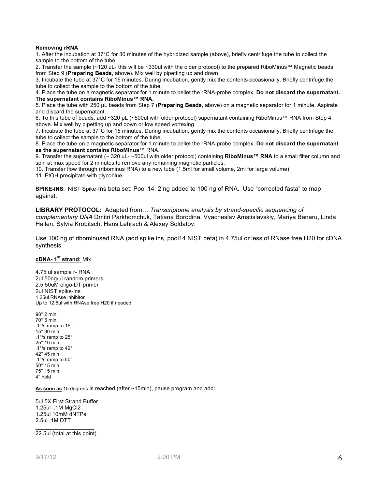## **Removing rRNA**

1. After the incubation at 37°C for 30 minutes of the hybridized sample (above), briefly centrifuge the tube to collect the sample to the bottom of the tube.

2. Transfer the sample (~120 uL- this will be ~330ul with the older protocol) to the prepared RiboMinus™ Magnetic beads from Step 9 (**Preparing Beads**, above). Mix well by pipetting up and down

3. Incubate the tube at 37°C for 15 minutes. During incubation, gently mix the contents occasionally. Briefly centrifuge the tube to collect the sample to the bottom of the tube.

4. Place the tube on a magnetic separator for 1 minute to pellet the rRNA-probe complex. **Do not discard the supernatant. The supernatant contains RiboMinus™ RNA.**

5. Place the tube with 250 µL beads from Step 7 (**Preparing Beads**, above) on a magnetic separator for 1 minute. Aspirate and discard the supernatant.

6. To this tube of beads, add ~320 µL (~500ul with older protocol) supernatant containing RiboMinus™ RNA from Step 4, above. Mix well by pipetting up and down or low speed vortexing.

7. Incubate the tube at 37°C for 15 minutes. During incubation, gently mix the contents occasionally. Briefly centrifuge the tube to collect the sample to the bottom of the tube.

8. Place the tube on a magnetic separator for 1 minute to pellet the rRNA-probe complex. **Do not discard the supernatant as the supernatant contains RiboMinus**™ RNA.

9. Transfer the supernatant (~ 320 uL- ~500ul with older protocol) containing **RiboMinus™ RNA** to a small filter column and spin at max speed for 2 minutes to remove any remaining magnetic particles.

10. Transfer flow through (ribominus RNA) to a new tube (1.5ml for small volume, 2ml for large volume)

11. EtOH precipitate with glycoblue

**SPIKE-INS**: NIST Spike-Ins beta set: Pool 14. 2 ng added to 100 ng of RNA. Use "corrected fasta" to map against.

**LIBRARY PROTOCOL:** Adapted from… *Transcriptome analysis by strand-specific sequencing of complementary DNA* Dmitri Parkhomchuk, Tatiana Borodina, Vyacheslav Amstislavskiy, Mariya Banaru, Linda Hallen, Sylvia Krobitsch, Hans Lehrach & Alexey Soldatov.

Use 100 ng of ribominused RNA (add spike ins, pool14 NIST beta) in 4.75ul or less of RNase free H20 for cDNA synthesis

## **cDNA- 1st strand:** Mix

4.75 ul sample r- RNA 2ul 50ng/ul random primers 2.5 50uM oligo-DT primer 2ul NIST spike-ins 1.25ul RNAse inhibitor Up to 12.5ul with RNAse free H20 if needed

98° 2 min 70° 5 min .1°/s ramp to 15° 15° 30 min .1°/s ramp to 25° 25° 10 min .1°/s ramp to 42° 42° 45 min .1°/s ramp to 50° 50° 15 min 75° 15 min 4° hold

**As soon as** 15 degrees is reached (after ~15min), pause program and add:

5ul 5X First Strand Buffer 1.25ul .1M MgCl2 1.25ul 10mM dNTPs 2.5ul .1M DTT

 $\_$ 22.5ul (total at this point)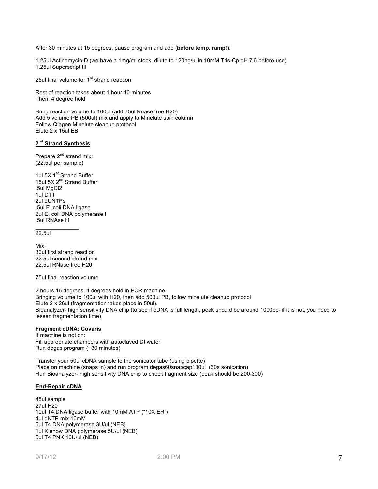After 30 minutes at 15 degrees, pause program and add (**before temp. ramp!**):

1.25ul Actinomycin-D (we have a 1mg/ml stock, dilute to 120ng/ul in 10mM Tris-Cp pH 7.6 before use) 1.25ul Superscript III

 $25$ ul final volume for  $1<sup>st</sup>$  strand reaction

 $\frac{1}{2}$  ,  $\frac{1}{2}$  ,  $\frac{1}{2}$  ,  $\frac{1}{2}$  ,  $\frac{1}{2}$  ,  $\frac{1}{2}$  ,  $\frac{1}{2}$  ,  $\frac{1}{2}$  ,  $\frac{1}{2}$  ,  $\frac{1}{2}$  ,  $\frac{1}{2}$ 

Rest of reaction takes about 1 hour 40 minutes Then, 4 degree hold

Bring reaction volume to 100ul (add 75ul Rnase free H20) Add 5 volume PB (500ul) mix and apply to Minelute spin column Follow Qiagen Minelute cleanup protocol Elute 2 x 15ul EB

# **2nd Strand Synthesis**

Prepare 2<sup>nd</sup> strand mix: (22.5ul per sample)

1ul 5X 1<sup>st</sup> Strand Buffer 15ul 5X 2<sup>nd</sup> Strand Buffer .5ul MgCl2 1ul DTT 2ul dUNTPs .5ul E. coli DNA ligase 2ul E. coli DNA polymerase I .5ul RNAse H

22.5ul

 $\mathcal{L}=\mathcal{L}$ 

Mix: 30ul first strand reaction 22.5ul second strand mix 22.5ul RNase free H20

 $\mathcal{L}=\mathcal{L}$ 75ul final reaction volume

2 hours 16 degrees, 4 degrees hold in PCR machine Bringing volume to 100ul with H20, then add 500ul PB, follow minelute cleanup protocol Elute 2 x 26ul (fragmentation takes place in 50ul). Bioanalyzer- high sensitivity DNA chip (to see if cDNA is full length, peak should be around 1000bp- if it is not, you need to lessen fragmentation time)

## **Fragment cDNA: Covaris**

If machine is not on: Fill appropriate chambers with autoclaved DI water Run degas program (~30 minutes)

Transfer your 50ul cDNA sample to the sonicator tube (using pipette) Place on machine (snaps in) and run program degas60snapcap100ul (60s sonication) Run Bioanalyzer- high sensitivity DNA chip to check fragment size (peak should be 200-300)

## **End-Repair cDNA**

48ul sample 27ul H20 10ul T4 DNA ligase buffer with 10mM ATP ("10X ER") 4ul dNTP mix 10mM 5ul T4 DNA polymerase 3U/ul (NEB) 1ul Klenow DNA polymerase 5U/ul (NEB) 5ul T4 PNK 10U/ul (NEB)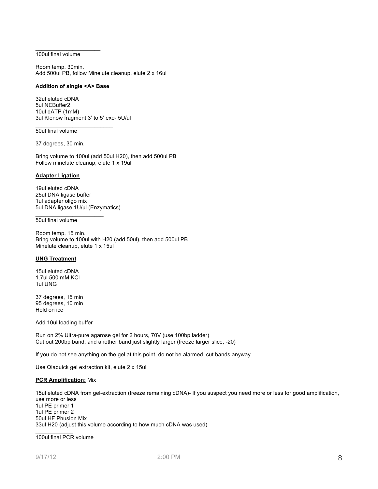#### $\frac{1}{2}$  ,  $\frac{1}{2}$  ,  $\frac{1}{2}$  ,  $\frac{1}{2}$  ,  $\frac{1}{2}$  ,  $\frac{1}{2}$  ,  $\frac{1}{2}$  ,  $\frac{1}{2}$  ,  $\frac{1}{2}$  ,  $\frac{1}{2}$  ,  $\frac{1}{2}$ 100ul final volume

Room temp. 30min. Add 500ul PB, follow Minelute cleanup, elute 2 x 16ul

## **Addition of single <A> Base**

 $\overline{\phantom{a}}$  , where  $\overline{\phantom{a}}$  , where  $\overline{\phantom{a}}$  , where  $\overline{\phantom{a}}$ 

32ul eluted cDNA 5ul NEBuffer2 10ul dATP (1mM) 3ul Klenow fragment 3' to 5' exo- 5U/ul

## 50ul final volume

37 degrees, 30 min.

Bring volume to 100ul (add 50ul H20), then add 500ul PB Follow minelute cleanup, elute 1 x 19ul

#### **Adapter Ligation**

19ul eluted cDNA 25ul DNA ligase buffer 1ul adapter oligo mix 5ul DNA ligase 1U/ul (Enzymatics)

 $\overline{\phantom{a}}$  , where  $\overline{\phantom{a}}$ 

#### 50ul final volume

Room temp, 15 min. Bring volume to 100ul with H20 (add 50ul), then add 500ul PB Minelute cleanup, elute 1 x 15ul

#### **UNG Treatment**

15ul eluted cDNA 1.7ul 500 mM KCl 1ul UNG

37 degrees, 15 min 95 degrees, 10 min Hold on ice

Add 10ul loading buffer

Run on 2% Ultra-pure agarose gel for 2 hours, 70V (use 100bp ladder) Cut out 200bp band, and another band just slightly larger (freeze larger slice, -20)

If you do not see anything on the gel at this point, do not be alarmed, cut bands anyway

Use Qiaquick gel extraction kit, elute 2 x 15ul

## **PCR Amplification:** Mix

15ul eluted cDNA from gel-extraction (freeze remaining cDNA)- If you suspect you need more or less for good amplification, use more or less 1ul PE primer 1 1ul PE primer 2 50ul HF Phusion Mix 33ul H20 (adjust this volume according to how much cDNA was used)

 $\frac{1}{2}$ 100ul final PCR volume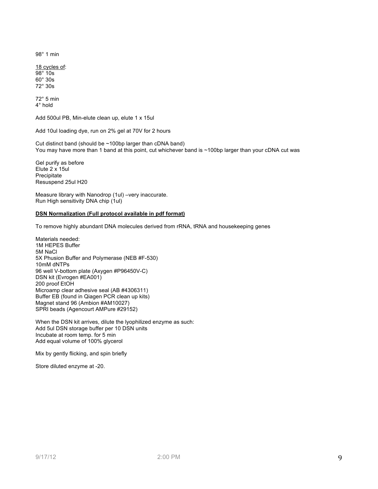98° 1 min

18 cycles of: 98° 10s 60° 30s 72° 30s

72° 5 min 4° hold

Add 500ul PB, Min-elute clean up, elute 1 x 15ul

Add 10ul loading dye, run on 2% gel at 70V for 2 hours

Cut distinct band (should be ~100bp larger than cDNA band) You may have more than 1 band at this point, cut whichever band is ~100bp larger than your cDNA cut was

Gel purify as before Elute 2 x 15ul Precipitate Resuspend 25ul H20

Measure library with Nanodrop (1ul) –very inaccurate. Run High sensitivity DNA chip (1ul)

## **DSN Normalization (Full protocol available in pdf format)**

To remove highly abundant DNA molecules derived from rRNA, tRNA and housekeeping genes

Materials needed: 1M HEPES Buffer 5M NaCl 5X Phusion Buffer and Polymerase (NEB #F-530) 10mM dNTPs 96 well V-bottom plate (Axygen #P96450V-C) DSN kit (Evrogen #EA001) 200 proof EtOH Microamp clear adhesive seal (AB #4306311) Buffer EB (found in Qiagen PCR clean up kits) Magnet stand 96 (Ambion #AM10027) SPRI beads (Agencourt AMPure #29152)

When the DSN kit arrives, dilute the lyophilized enzyme as such: Add 5ul DSN storage buffer per 10 DSN units Incubate at room temp. for 5 min Add equal volume of 100% glycerol

Mix by gently flicking, and spin briefly

Store diluted enzyme at -20.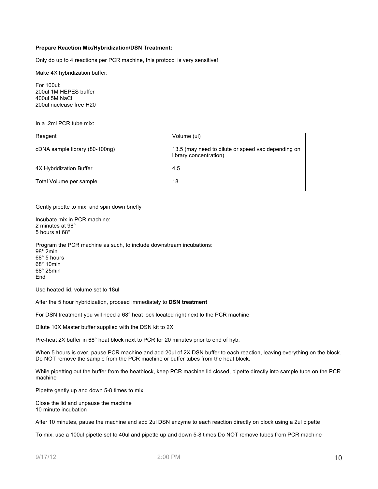## **Prepare Reaction Mix/Hybridization/DSN Treatment:**

Only do up to 4 reactions per PCR machine, this protocol is very sensitive!

Make 4X hybridization buffer:

For 100ul: 200ul 1M HEPES buffer 400ul 5M NaCl 200ul nuclease free H20

In a .2ml PCR tube mix:

| Reagent                        | Volume (ul)                                                                  |  |
|--------------------------------|------------------------------------------------------------------------------|--|
|                                |                                                                              |  |
| cDNA sample library (80-100ng) | 13.5 (may need to dilute or speed vac depending on<br>library concentration) |  |
| 4X Hybridization Buffer        | 4.5                                                                          |  |
| Total Volume per sample        | 18                                                                           |  |

Gently pipette to mix, and spin down briefly

Incubate mix in PCR machine: 2 minutes at 98° 5 hours at 68°

Program the PCR machine as such, to include downstream incubations: 98° 2min 68° 5 hours 68° 10min 68° 25min End

Use heated lid, volume set to 18ul

After the 5 hour hybridization, proceed immediately to **DSN treatment**

For DSN treatment you will need a 68° heat lock located right next to the PCR machine

Dilute 10X Master buffer supplied with the DSN kit to 2X

Pre-heat 2X buffer in 68° heat block next to PCR for 20 minutes prior to end of hyb.

When 5 hours is over, pause PCR machine and add 20ul of 2X DSN buffer to each reaction, leaving everything on the block. Do NOT remove the sample from the PCR machine or buffer tubes from the heat block.

While pipetting out the buffer from the heatblock, keep PCR machine lid closed, pipette directly into sample tube on the PCR machine

Pipette gently up and down 5-8 times to mix

Close the lid and unpause the machine 10 minute incubation

After 10 minutes, pause the machine and add 2ul DSN enzyme to each reaction directly on block using a 2ul pipette

To mix, use a 100ul pipette set to 40ul and pipette up and down 5-8 times Do NOT remove tubes from PCR machine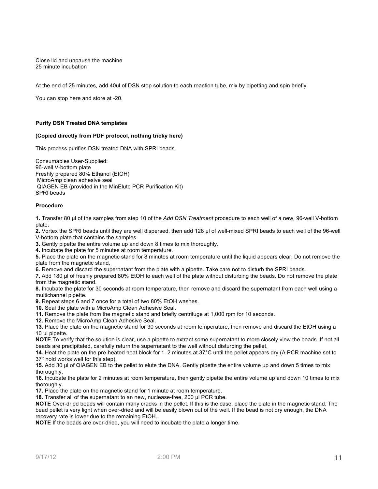Close lid and unpause the machine 25 minute incubation

At the end of 25 minutes, add 40ul of DSN stop solution to each reaction tube, mix by pipetting and spin briefly

You can stop here and store at -20.

## **Purify DSN Treated DNA templates**

## **(Copied directly from PDF protocol, nothing tricky here)**

This process purifies DSN treated DNA with SPRI beads.

Consumables User-Supplied: 96-well V-bottom plate Freshly prepared 80% Ethanol (EtOH) MicroAmp clean adhesive seal QIAGEN EB (provided in the MinElute PCR Purification Kit) SPRI beads

## **Procedure**

**1.** Transfer 80 µl of the samples from step 10 of the *Add DSN Treatment* procedure to each well of a new, 96-well V-bottom plate.

**2.** Vortex the SPRI beads until they are well dispersed, then add 128 µl of well-mixed SPRI beads to each well of the 96-well V-bottom plate that contains the samples.

**3.** Gently pipette the entire volume up and down 8 times to mix thoroughly.

**4.** Incubate the plate for 5 minutes at room temperature.

**5.** Place the plate on the magnetic stand for 8 minutes at room temperature until the liquid appears clear. Do not remove the plate from the magnetic stand.

**6.** Remove and discard the supernatant from the plate with a pipette. Take care not to disturb the SPRI beads.

**7.** Add 180 µl of freshly prepared 80% EtOH to each well of the plate without disturbing the beads. Do not remove the plate from the magnetic stand.

**8.** Incubate the plate for 30 seconds at room temperature, then remove and discard the supernatant from each well using a multichannel pipette.

**9.** Repeat steps 6 and 7 once for a total of two 80% EtOH washes.

**10.** Seal the plate with a MicroAmp Clean Adhesive Seal.

**11.** Remove the plate from the magnetic stand and briefly centrifuge at 1,000 rpm for 10 seconds.

**12.** Remove the MicroAmp Clean Adhesive Seal.

**13.** Place the plate on the magnetic stand for 30 seconds at room temperature, then remove and discard the EtOH using a 10 µl pipette.

**NOTE** To verify that the solution is clear, use a pipette to extract some supernatant to more closely view the beads. If not all beads are precipitated, carefully return the supernatant to the well without disturbing the pellet.

**14.** Heat the plate on the pre-heated heat block for 1–2 minutes at 37°C until the pellet appears dry (A PCR machine set to 37° hold works well for this step).

**15.** Add 30 µl of QIAGEN EB to the pellet to elute the DNA. Gently pipette the entire volume up and down 5 times to mix thoroughly.

**16.** Incubate the plate for 2 minutes at room temperature, then gently pipette the entire volume up and down 10 times to mix thoroughly.

**17.** Place the plate on the magnetic stand for 1 minute at room temperature.

18. Transfer all of the supernatant to an new, nuclease-free, 200 µl PCR tube.

**NOTE** Over-dried beads will contain many cracks in the pellet. If this is the case, place the plate in the magnetic stand. The bead pellet is very light when over-dried and will be easily blown out of the well. If the bead is not dry enough, the DNA recovery rate is lower due to the remaining EtOH.

**NOTE** If the beads are over-dried, you will need to incubate the plate a longer time.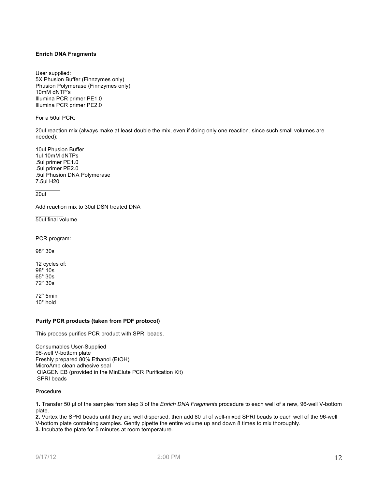## **Enrich DNA Fragments**

User supplied: 5X Phusion Buffer (Finnzymes only) Phusion Polymerase (Finnzymes only) 10mM dNTP's Illumina PCR primer PE1.0 Illumina PCR primer PE2.0

For a 50ul PCR:

20ul reaction mix (always make at least double the mix, even if doing only one reaction. since such small volumes are needed):

10ul Phusion Buffer 1ul 10mM dNTPs .5ul primer PE1.0 .5ul primer PE2.0 .5ul Phusion DNA Polymerase 7.5ul H20

20ul

 $\frac{1}{2}$ 

 $\frac{1}{2}$ 

Add reaction mix to 30ul DSN treated DNA

50ul final volume

PCR program:

98° 30s

12 cycles of: 98° 10s 65° 30s 72° 30s

72° 5min 10° hold

## **Purify PCR products (taken from PDF protocol)**

This process purifies PCR product with SPRI beads.

Consumables User-Supplied 96-well V-bottom plate Freshly prepared 80% Ethanol (EtOH) MicroAmp clean adhesive seal QIAGEN EB (provided in the MinElute PCR Purification Kit) SPRI beads

Procedure

**1.** Transfer 50 µl of the samples from step 3 of the *Enrich DNA Fragments* procedure to each well of a new, 96-well V-bottom plate.

**2.** Vortex the SPRI beads until they are well dispersed, then add 80 µl of well-mixed SPRI beads to each well of the 96-well V-bottom plate containing samples. Gently pipette the entire volume up and down 8 times to mix thoroughly. **3.** Incubate the plate for 5 minutes at room temperature.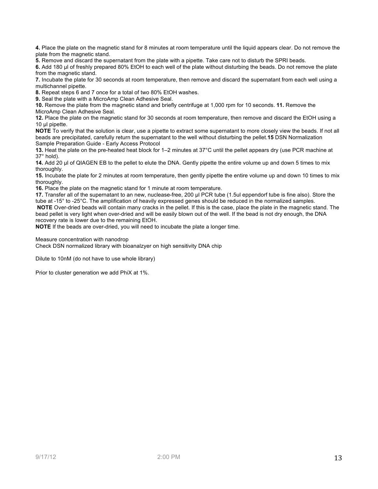**4.** Place the plate on the magnetic stand for 8 minutes at room temperature until the liquid appears clear. Do not remove the plate from the magnetic stand.

**5.** Remove and discard the supernatant from the plate with a pipette. Take care not to disturb the SPRI beads.

**6.** Add 180 µl of freshly prepared 80% EtOH to each well of the plate without disturbing the beads. Do not remove the plate from the magnetic stand.

**7.** Incubate the plate for 30 seconds at room temperature, then remove and discard the supernatant from each well using a multichannel pipette.

**8.** Repeat steps 6 and 7 once for a total of two 80% EtOH washes.

**9.** Seal the plate with a MicroAmp Clean Adhesive Seal.

**10.** Remove the plate from the magnetic stand and briefly centrifuge at 1,000 rpm for 10 seconds. **11.** Remove the MicroAmp Clean Adhesive Seal.

**12.** Place the plate on the magnetic stand for 30 seconds at room temperature, then remove and discard the EtOH using a 10 ul pipette.

**NOTE** To verify that the solution is clear, use a pipette to extract some supernatant to more closely view the beads. If not all beads are precipitated, carefully return the supernatant to the well without disturbing the pellet.**15** DSN Normalization Sample Preparation Guide - Early Access Protocol

**13.** Heat the plate on the pre-heated heat block for 1–2 minutes at 37°C until the pellet appears dry (use PCR machine at 37° hold).

**14.** Add 20 µl of QIAGEN EB to the pellet to elute the DNA. Gently pipette the entire volume up and down 5 times to mix thoroughly.

**15.** Incubate the plate for 2 minutes at room temperature, then gently pipette the entire volume up and down 10 times to mix thoroughly.

**16.** Place the plate on the magnetic stand for 1 minute at room temperature.

**17.** Transfer all of the supernatant to an new, nuclease-free, 200 µl PCR tube (1.5ul eppendorf tube is fine also). Store the tube at -15° to -25°C. The amplification of heavily expressed genes should be reduced in the normalized samples. **NOTE** Over-dried beads will contain many cracks in the pellet. If this is the case, place the plate in the magnetic stand. The bead pellet is very light when over-dried and will be easily blown out of the well. If the bead is not dry enough, the DNA recovery rate is lower due to the remaining EtOH.

**NOTE** If the beads are over-dried, you will need to incubate the plate a longer time.

Measure concentration with nanodrop

Check DSN normalized library with bioanalzyer on high sensitivity DNA chip

Dilute to 10nM (do not have to use whole library)

Prior to cluster generation we add PhiX at 1%.